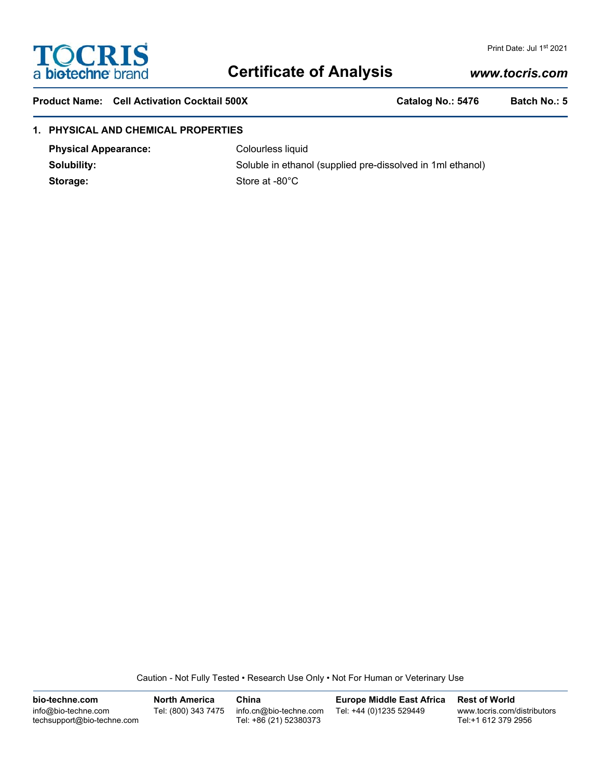

# **Certificate of Analysis**

# *www.tocris.com*

Print Date: Jul 1st 2021

Product Name: Cell Activation Cocktail 500X **Catalog No.: 5476** Batch No.: 5

## **1. PHYSICAL AND CHEMICAL PROPERTIES**

**Physical Appearance:** Colourless liquid

**Solubility:** Soluble in ethanol (supplied pre-dissolved in 1ml ethanol) Storage: Store at -80°C

Caution - Not Fully Tested • Research Use Only • Not For Human or Veterinary Use

**bio-techne.com** info@bio-techne.com techsupport@bio-techne.com **North America** Tel: (800) 343 7475 **China** info.cn@bio-techne.com Tel: +86 (21) 52380373 **Europe Middle East Africa** Tel: +44 (0)1235 529449 **Rest of World** www.tocris.com/distributors Tel:+1 612 379 2956